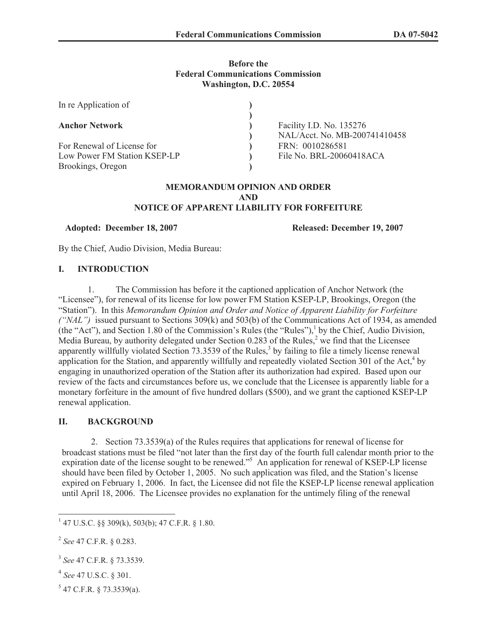## **Before the Federal Communications Commission Washington, D.C. 20554**

| In re Application of         |                                                           |
|------------------------------|-----------------------------------------------------------|
| <b>Anchor Network</b>        | Facility I.D. No. 135276<br>NAL/Acct. No. MB-200741410458 |
| For Renewal of License for   | FRN: 0010286581                                           |
| Low Power FM Station KSEP-LP | File No. BRL-20060418ACA                                  |
| Brookings, Oregon            |                                                           |

#### **MEMORANDUM OPINION AND ORDER AND NOTICE OF APPARENT LIABILITY FOR FORFEITURE**

**Adopted: December 18, 2007 Released: December 19, 2007**

By the Chief, Audio Division, Media Bureau:

#### **I. INTRODUCTION**

1. The Commission has before it the captioned application of Anchor Network (the "Licensee"), for renewal of its license for low power FM Station KSEP-LP, Brookings, Oregon (the "Station"). In this *Memorandum Opinion and Order and Notice of Apparent Liability for Forfeiture ("NAL")* issued pursuant to Sections 309(k) and 503(b) of the Communications Act of 1934, as amended (the "Act"), and Section 1.80 of the Commission's Rules (the "Rules"),<sup>1</sup> by the Chief, Audio Division, Media Bureau, by authority delegated under Section  $0.283$  of the Rules,<sup>2</sup> we find that the Licensee apparently willfully violated Section 73.3539 of the Rules,<sup>3</sup> by failing to file a timely license renewal application for the Station, and apparently willfully and repeatedly violated Section  $301$  of the Act,<sup>4</sup> by engaging in unauthorized operation of the Station after its authorization had expired. Based upon our review of the facts and circumstances before us, we conclude that the Licensee is apparently liable for a monetary forfeiture in the amount of five hundred dollars (\$500), and we grant the captioned KSEP-LP renewal application.

## **II. BACKGROUND**

2. Section 73.3539(a) of the Rules requires that applications for renewal of license for broadcast stations must be filed "not later than the first day of the fourth full calendar month prior to the expiration date of the license sought to be renewed."<sup>5</sup> An application for renewal of KSEP-LP license should have been filed by October 1, 2005. No such application was filed, and the Station's license expired on February 1, 2006. In fact, the Licensee did not file the KSEP-LP license renewal application until April 18, 2006. The Licensee provides no explanation for the untimely filing of the renewal

- 4 *See* 47 U.S.C. § 301.
- $5$  47 C.F.R. § 73.3539(a).

<sup>1</sup> 47 U.S.C. §§ 309(k), 503(b); 47 C.F.R. § 1.80.

<sup>2</sup> *See* 47 C.F.R. § 0.283.

<sup>3</sup> *See* 47 C.F.R. § 73.3539.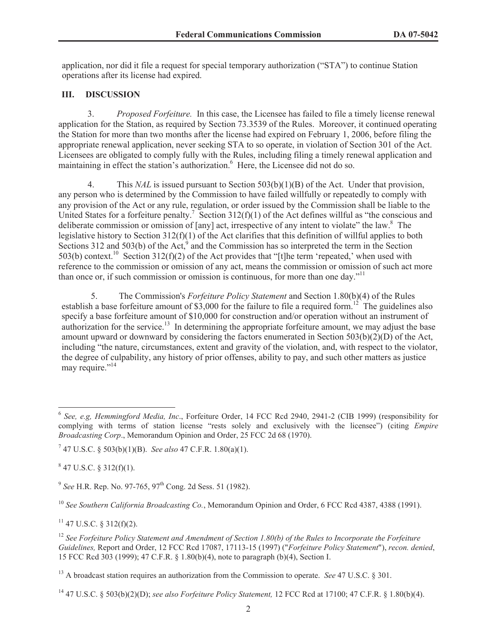application, nor did it file a request for special temporary authorization ("STA") to continue Station operations after its license had expired.

# **III. DISCUSSION**

3. *Proposed Forfeiture.* In this case, the Licensee has failed to file a timely license renewal application for the Station, as required by Section 73.3539 of the Rules. Moreover, it continued operating the Station for more than two months after the license had expired on February 1, 2006, before filing the appropriate renewal application, never seeking STA to so operate, in violation of Section 301 of the Act. Licensees are obligated to comply fully with the Rules, including filing a timely renewal application and maintaining in effect the station's authorization. <sup>6</sup> Here, the Licensee did not do so.

4. This *NAL* is issued pursuant to Section 503(b)(1)(B) of the Act. Under that provision, any person who is determined by the Commission to have failed willfully or repeatedly to comply with any provision of the Act or any rule, regulation, or order issued by the Commission shall be liable to the United States for a forfeiture penalty.<sup>7</sup> Section 312(f)(1) of the Act defines willful as "the conscious and deliberate commission or omission of [any] act, irrespective of any intent to violate" the law.<sup>8</sup> The legislative history to Section 312(f)(1) of the Act clarifies that this definition of willful applies to both Sections 312 and 503(b) of the Act, $9^9$  and the Commission has so interpreted the term in the Section 503(b) context.<sup>10</sup> Section 312(f)(2) of the Act provides that "[t]he term 'repeated,' when used with reference to the commission or omission of any act, means the commission or omission of such act more than once or, if such commission or omission is continuous, for more than one day."<sup>11</sup>

5. The Commission's *Forfeiture Policy Statement* and Section 1.80(b)(4) of the Rules establish a base forfeiture amount of \$3,000 for the failure to file a required form.<sup>12</sup> The guidelines also specify a base forfeiture amount of \$10,000 for construction and/or operation without an instrument of authorization for the service.<sup>13</sup> In determining the appropriate forfeiture amount, we may adjust the base amount upward or downward by considering the factors enumerated in Section  $503(b)(2)(D)$  of the Act, including "the nature, circumstances, extent and gravity of the violation, and, with respect to the violator, the degree of culpability, any history of prior offenses, ability to pay, and such other matters as justice may require."<sup>14</sup>

 $847$  U.S.C. § 312(f)(1).

 $11$  47 U.S.C. § 312(f)(2).

<sup>6</sup> *See, e.g, Hemmingford Media, Inc*., Forfeiture Order, 14 FCC Rcd 2940, 2941-2 (CIB 1999) (responsibility for complying with terms of station license "rests solely and exclusively with the licensee") (citing *Empire Broadcasting Corp*., Memorandum Opinion and Order, 25 FCC 2d 68 (1970).

<sup>7</sup> 47 U.S.C. § 503(b)(1)(B). *See also* 47 C.F.R. 1.80(a)(1).

<sup>&</sup>lt;sup>9</sup> See H.R. Rep. No. 97-765, 97<sup>th</sup> Cong. 2d Sess. 51 (1982).

<sup>10</sup> *See Southern California Broadcasting Co.*, Memorandum Opinion and Order, 6 FCC Rcd 4387, 4388 (1991).

<sup>12</sup> *See Forfeiture Policy Statement and Amendment of Section 1.80(b) of the Rules to Incorporate the Forfeiture Guidelines,* Report and Order, 12 FCC Rcd 17087, 17113-15 (1997) ("*Forfeiture Policy Statement*"), *recon. denied*, 15 FCC Rcd 303 (1999); 47 C.F.R. § 1.80(b)(4), note to paragraph (b)(4), Section I.

<sup>13</sup> A broadcast station requires an authorization from the Commission to operate. *See* 47 U.S.C. § 301.

<sup>14</sup> 47 U.S.C. § 503(b)(2)(D); *see also Forfeiture Policy Statement,* 12 FCC Rcd at 17100; 47 C.F.R. § 1.80(b)(4).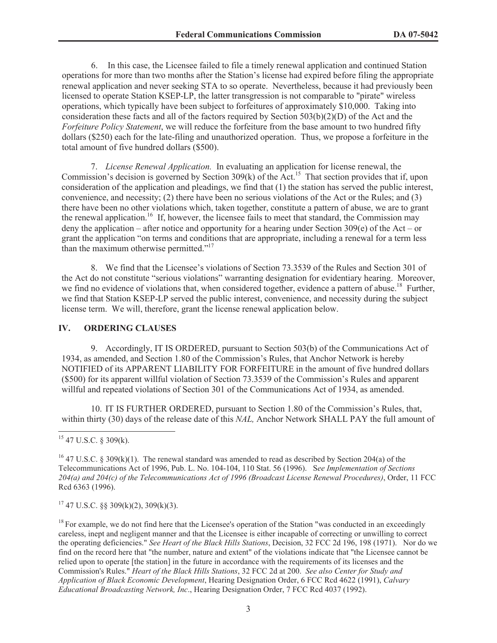6. In this case, the Licensee failed to file a timely renewal application and continued Station operations for more than two months after the Station's license had expired before filing the appropriate renewal application and never seeking STA to so operate. Nevertheless, because it had previously been licensed to operate Station KSEP-LP, the latter transgression is not comparable to "pirate" wireless operations, which typically have been subject to forfeitures of approximately \$10,000. Taking into consideration these facts and all of the factors required by Section 503(b)(2)(D) of the Act and the *Forfeiture Policy Statement*, we will reduce the forfeiture from the base amount to two hundred fifty dollars (\$250) each for the late-filing and unauthorized operation. Thus, we propose a forfeiture in the total amount of five hundred dollars (\$500).

7. *License Renewal Application.* In evaluating an application for license renewal, the Commission's decision is governed by Section 309(k) of the Act.<sup>15</sup> That section provides that if, upon consideration of the application and pleadings, we find that (1) the station has served the public interest, convenience, and necessity; (2) there have been no serious violations of the Act or the Rules; and (3) there have been no other violations which, taken together, constitute a pattern of abuse, we are to grant the renewal application.<sup>16</sup> If, however, the licensee fails to meet that standard, the Commission may deny the application – after notice and opportunity for a hearing under Section 309(e) of the Act – or grant the application "on terms and conditions that are appropriate, including a renewal for a term less than the maximum otherwise permitted."<sup>17</sup>

8. We find that the Licensee's violations of Section 73.3539 of the Rules and Section 301 of the Act do not constitute "serious violations" warranting designation for evidentiary hearing. Moreover, we find no evidence of violations that, when considered together, evidence a pattern of abuse.<sup>18</sup> Further, we find that Station KSEP-LP served the public interest, convenience, and necessity during the subject license term. We will, therefore, grant the license renewal application below.

#### **IV. ORDERING CLAUSES**

9. Accordingly, IT IS ORDERED, pursuant to Section 503(b) of the Communications Act of 1934, as amended, and Section 1.80 of the Commission's Rules, that Anchor Network is hereby NOTIFIED of its APPARENT LIABILITY FOR FORFEITURE in the amount of five hundred dollars (\$500) for its apparent willful violation of Section 73.3539 of the Commission's Rules and apparent willful and repeated violations of Section 301 of the Communications Act of 1934, as amended.

10. IT IS FURTHER ORDERED, pursuant to Section 1.80 of the Commission's Rules, that, within thirty (30) days of the release date of this *NAL,* Anchor Network SHALL PAY the full amount of

 $17$  47 U.S.C. §§ 309(k)(2), 309(k)(3).

 $15$  47 U.S.C. § 309(k).

<sup>&</sup>lt;sup>16</sup> 47 U.S.C. § 309(k)(1). The renewal standard was amended to read as described by Section 204(a) of the Telecommunications Act of 1996, Pub. L. No. 104-104, 110 Stat. 56 (1996). S*ee Implementation of Sections 204(a) and 204(c) of the Telecommunications Act of 1996 (Broadcast License Renewal Procedures)*, Order, 11 FCC Rcd 6363 (1996).

 $<sup>18</sup>$  For example, we do not find here that the Licensee's operation of the Station "was conducted in an exceedingly</sup> careless, inept and negligent manner and that the Licensee is either incapable of correcting or unwilling to correct the operating deficiencies." *See Heart of the Black Hills Stations*, Decision, 32 FCC 2d 196, 198 (1971). Nor do we find on the record here that "the number, nature and extent" of the violations indicate that "the Licensee cannot be relied upon to operate [the station] in the future in accordance with the requirements of its licenses and the Commission's Rules." *Heart of the Black Hills Stations*, 32 FCC 2d at 200. *See also Center for Study and Application of Black Economic Development*, Hearing Designation Order, 6 FCC Rcd 4622 (1991), *Calvary Educational Broadcasting Network, Inc*., Hearing Designation Order, 7 FCC Rcd 4037 (1992).